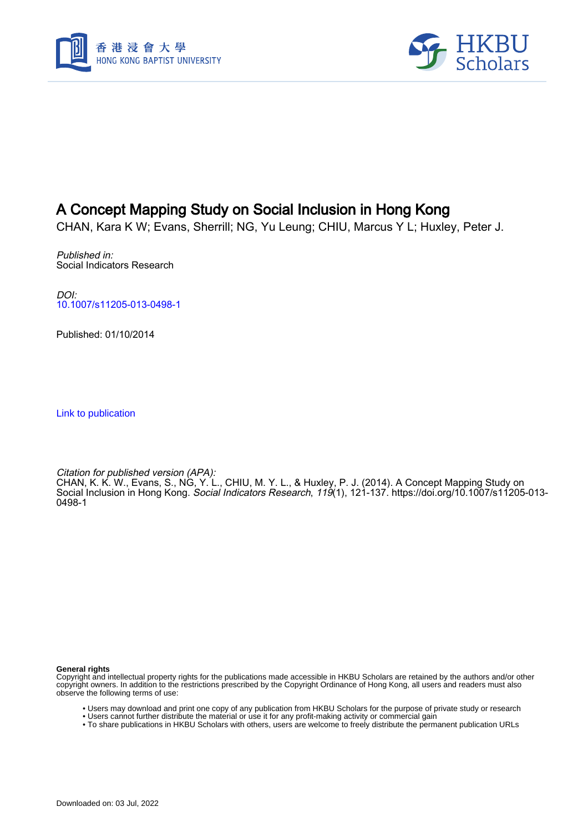



# A Concept Mapping Study on Social Inclusion in Hong Kong

CHAN, Kara K W; Evans, Sherrill; NG, Yu Leung; CHIU, Marcus Y L; Huxley, Peter J.

Published in: Social Indicators Research

DOI: [10.1007/s11205-013-0498-1](https://doi.org/10.1007/s11205-013-0498-1)

Published: 01/10/2014

[Link to publication](https://scholars.hkbu.edu.hk/en/publications/a1b0edbe-b66d-4651-96e7-baaeab6459d0)

Citation for published version (APA):

CHAN, K. K. W., Evans, S., NG, Y. L., CHIU, M. Y. L., & Huxley, P. J. (2014). A Concept Mapping Study on Social Inclusion in Hong Kong. Social Indicators Research, 119(1), 121-137. [https://doi.org/10.1007/s11205-013-](https://doi.org/10.1007/s11205-013-0498-1) [0498-1](https://doi.org/10.1007/s11205-013-0498-1)

**General rights**

Copyright and intellectual property rights for the publications made accessible in HKBU Scholars are retained by the authors and/or other copyright owners. In addition to the restrictions prescribed by the Copyright Ordinance of Hong Kong, all users and readers must also observe the following terms of use:

- Users may download and print one copy of any publication from HKBU Scholars for the purpose of private study or research
- Users cannot further distribute the material or use it for any profit-making activity or commercial gain
- To share publications in HKBU Scholars with others, users are welcome to freely distribute the permanent publication URLs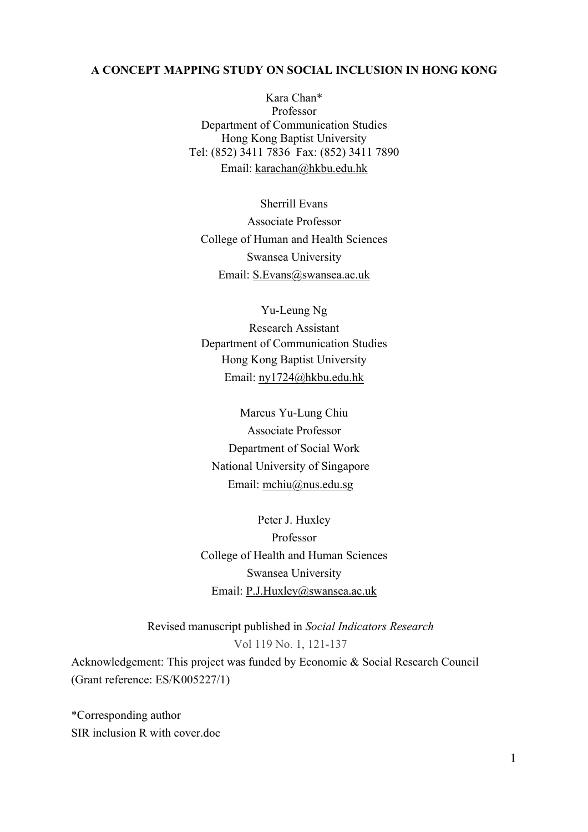# **A CONCEPT MAPPING STUDY ON SOCIAL INCLUSION IN HONG KONG**

Kara Chan\* Professor Department of Communication Studies Hong Kong Baptist University Tel: (852) 3411 7836 Fax: (852) 3411 7890 Email: karachan@hkbu.edu.hk

Sherrill Evans Associate Professor College of Human and Health Sciences Swansea University Email: S.Evans@swansea.ac.uk

Yu-Leung Ng Research Assistant Department of Communication Studies Hong Kong Baptist University Email: ny1724@hkbu.edu.hk

Marcus Yu-Lung Chiu Associate Professor Department of Social Work National University of Singapore Email: mchiu@nus.edu.sg

Peter J. Huxley Professor College of Health and Human Sciences Swansea University Email: P.J.Huxley@swansea.ac.uk

Revised manuscript published in *Social Indicators Research*  Vol 119 No. 1, 121-137

Acknowledgement: This project was funded by Economic & Social Research Council (Grant reference: ES/K005227/1)

\*Corresponding author SIR inclusion R with cover.doc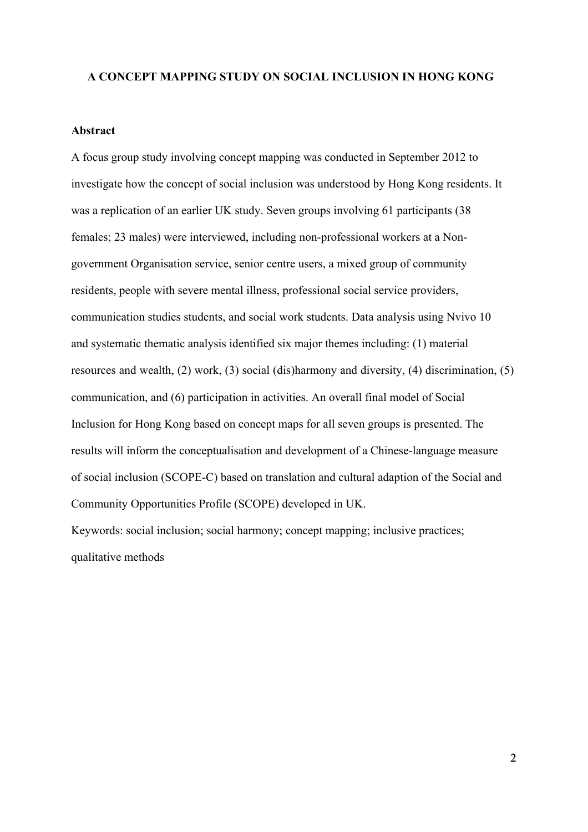#### **A CONCEPT MAPPING STUDY ON SOCIAL INCLUSION IN HONG KONG**

#### **Abstract**

A focus group study involving concept mapping was conducted in September 2012 to investigate how the concept of social inclusion was understood by Hong Kong residents. It was a replication of an earlier UK study. Seven groups involving 61 participants (38 females; 23 males) were interviewed, including non-professional workers at a Nongovernment Organisation service, senior centre users, a mixed group of community residents, people with severe mental illness, professional social service providers, communication studies students, and social work students. Data analysis using Nvivo 10 and systematic thematic analysis identified six major themes including: (1) material resources and wealth, (2) work, (3) social (dis)harmony and diversity, (4) discrimination, (5) communication, and (6) participation in activities. An overall final model of Social Inclusion for Hong Kong based on concept maps for all seven groups is presented. The results will inform the conceptualisation and development of a Chinese-language measure of social inclusion (SCOPE-C) based on translation and cultural adaption of the Social and Community Opportunities Profile (SCOPE) developed in UK.

Keywords: social inclusion; social harmony; concept mapping; inclusive practices; qualitative methods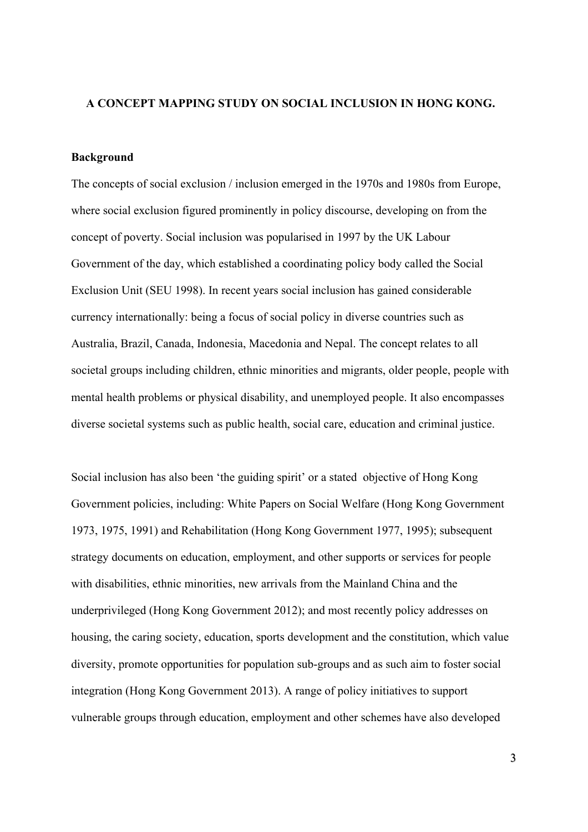# **A CONCEPT MAPPING STUDY ON SOCIAL INCLUSION IN HONG KONG.**

# **Background**

The concepts of social exclusion / inclusion emerged in the 1970s and 1980s from Europe, where social exclusion figured prominently in policy discourse, developing on from the concept of poverty. Social inclusion was popularised in 1997 by the UK Labour Government of the day, which established a coordinating policy body called the Social Exclusion Unit (SEU 1998). In recent years social inclusion has gained considerable currency internationally: being a focus of social policy in diverse countries such as Australia, Brazil, Canada, Indonesia, Macedonia and Nepal. The concept relates to all societal groups including children, ethnic minorities and migrants, older people, people with mental health problems or physical disability, and unemployed people. It also encompasses diverse societal systems such as public health, social care, education and criminal justice.

Social inclusion has also been 'the guiding spirit' or a stated objective of Hong Kong Government policies, including: White Papers on Social Welfare (Hong Kong Government 1973, 1975, 1991) and Rehabilitation (Hong Kong Government 1977, 1995); subsequent strategy documents on education, employment, and other supports or services for people with disabilities, ethnic minorities, new arrivals from the Mainland China and the underprivileged (Hong Kong Government 2012); and most recently policy addresses on housing, the caring society, education, sports development and the constitution, which value diversity, promote opportunities for population sub-groups and as such aim to foster social integration (Hong Kong Government 2013). A range of policy initiatives to support vulnerable groups through education, employment and other schemes have also developed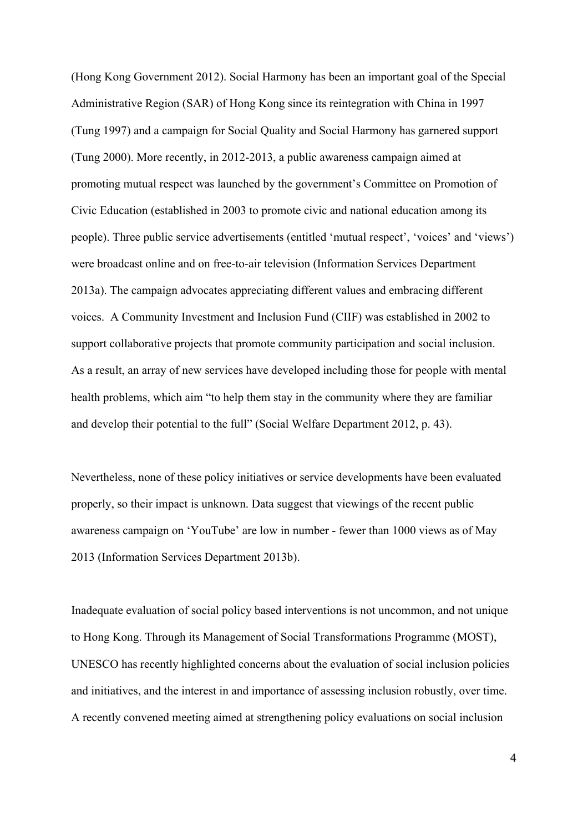(Hong Kong Government 2012). Social Harmony has been an important goal of the Special Administrative Region (SAR) of Hong Kong since its reintegration with China in 1997 (Tung 1997) and a campaign for Social Quality and Social Harmony has garnered support (Tung 2000). More recently, in 2012-2013, a public awareness campaign aimed at promoting mutual respect was launched by the government's Committee on Promotion of Civic Education (established in 2003 to promote civic and national education among its people). Three public service advertisements (entitled 'mutual respect', 'voices' and 'views') were broadcast online and on free-to-air television (Information Services Department 2013a). The campaign advocates appreciating different values and embracing different voices. A Community Investment and Inclusion Fund (CIIF) was established in 2002 to support collaborative projects that promote community participation and social inclusion. As a result, an array of new services have developed including those for people with mental health problems, which aim "to help them stay in the community where they are familiar and develop their potential to the full" (Social Welfare Department 2012, p. 43).

Nevertheless, none of these policy initiatives or service developments have been evaluated properly, so their impact is unknown. Data suggest that viewings of the recent public awareness campaign on 'YouTube' are low in number - fewer than 1000 views as of May 2013 (Information Services Department 2013b).

Inadequate evaluation of social policy based interventions is not uncommon, and not unique to Hong Kong. Through its Management of Social Transformations Programme (MOST), UNESCO has recently highlighted concerns about the evaluation of social inclusion policies and initiatives, and the interest in and importance of assessing inclusion robustly, over time. A recently convened meeting aimed at strengthening policy evaluations on social inclusion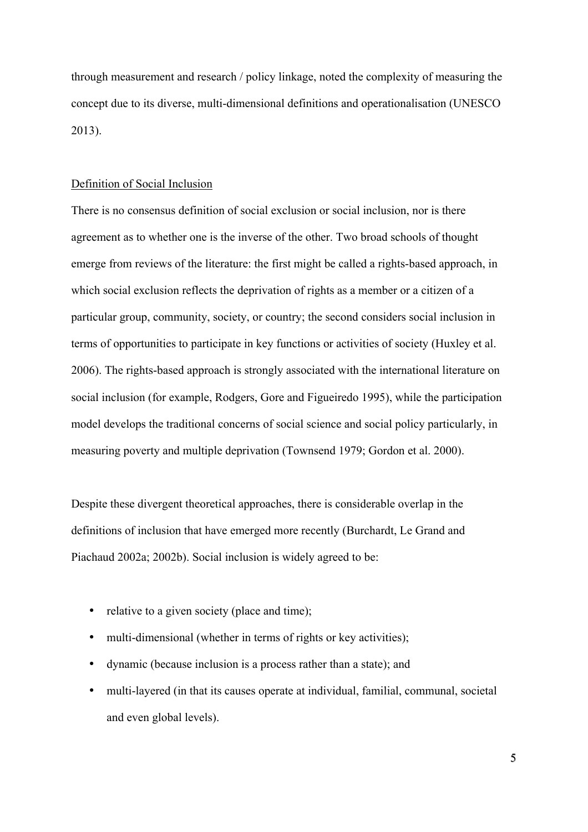through measurement and research / policy linkage, noted the complexity of measuring the concept due to its diverse, multi-dimensional definitions and operationalisation (UNESCO 2013).

#### Definition of Social Inclusion

There is no consensus definition of social exclusion or social inclusion, nor is there agreement as to whether one is the inverse of the other. Two broad schools of thought emerge from reviews of the literature: the first might be called a rights-based approach, in which social exclusion reflects the deprivation of rights as a member or a citizen of a particular group, community, society, or country; the second considers social inclusion in terms of opportunities to participate in key functions or activities of society (Huxley et al. 2006). The rights-based approach is strongly associated with the international literature on social inclusion (for example, Rodgers, Gore and Figueiredo 1995), while the participation model develops the traditional concerns of social science and social policy particularly, in measuring poverty and multiple deprivation (Townsend 1979; Gordon et al. 2000).

Despite these divergent theoretical approaches, there is considerable overlap in the definitions of inclusion that have emerged more recently (Burchardt, Le Grand and Piachaud 2002a; 2002b). Social inclusion is widely agreed to be:

- relative to a given society (place and time);
- multi-dimensional (whether in terms of rights or key activities);
- dynamic (because inclusion is a process rather than a state); and
- multi-layered (in that its causes operate at individual, familial, communal, societal and even global levels).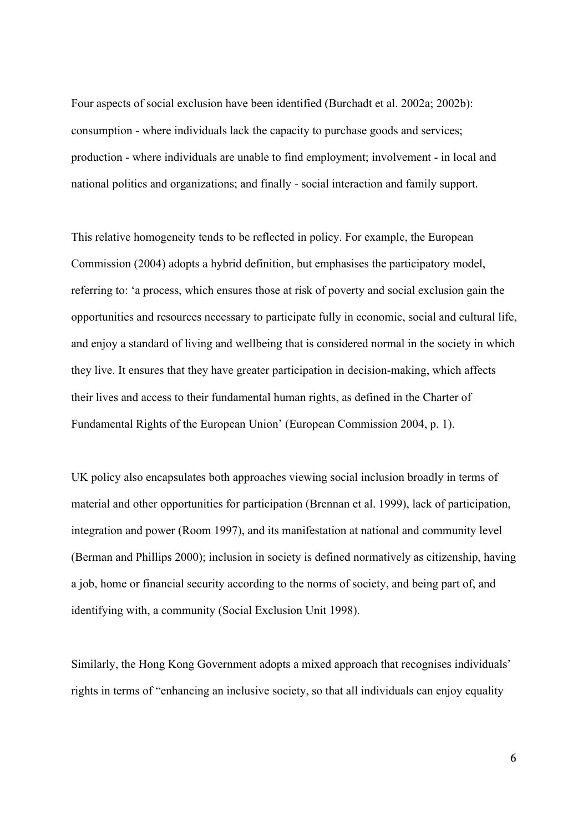Four aspects of social exclusion have been identified (Burchadt et al. 2002a; 2002b): consumption - where individuals lack the capacity to purchase goods and services; production - where individuals are unable to find employment; involvement - in local and national politics and organizations; and finally - social interaction and family support.

This relative homogeneity tends to be reflected in policy. For example, the European Commission (2004) adopts a hybrid definition, but emphasises the participatory model, referring to: 'a process, which ensures those at risk of poverty and social exclusion gain the opportunities and resources necessary to participate fully in economic, social and cultural life, and enjoy a standard of living and wellbeing that is considered normal in the society in which they live. It ensures that they have greater participation in decision-making, which affects their lives and access to their fundamental human rights, as defined in the Charter of Fundamental Rights of the European Union' (European Commission 2004, p. 1).

UK policy also encapsulates both approaches viewing social inclusion broadly in terms of material and other opportunities for participation (Brennan et al. 1999), lack of participation, integration and power (Room 1997), and its manifestation at national and community level (Berman and Phillips 2000); inclusion in society is defined normatively as citizenship, having a job, home or financial security according to the norms of society, and being part of, and identifying with, a community (Social Exclusion Unit 1998).

Similarly, the Hong Kong Government adopts a mixed approach that recognises individuals' rights in terms of "enhancing an inclusive society, so that all individuals can enjoy equality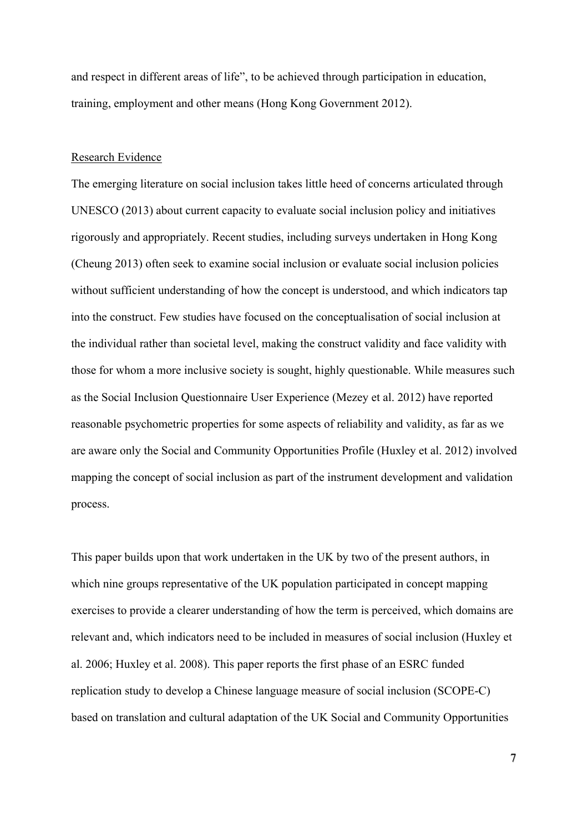and respect in different areas of life", to be achieved through participation in education, training, employment and other means (Hong Kong Government 2012).

#### Research Evidence

The emerging literature on social inclusion takes little heed of concerns articulated through UNESCO (2013) about current capacity to evaluate social inclusion policy and initiatives rigorously and appropriately. Recent studies, including surveys undertaken in Hong Kong (Cheung 2013) often seek to examine social inclusion or evaluate social inclusion policies without sufficient understanding of how the concept is understood, and which indicators tap into the construct. Few studies have focused on the conceptualisation of social inclusion at the individual rather than societal level, making the construct validity and face validity with those for whom a more inclusive society is sought, highly questionable. While measures such as the Social Inclusion Questionnaire User Experience (Mezey et al. 2012) have reported reasonable psychometric properties for some aspects of reliability and validity, as far as we are aware only the Social and Community Opportunities Profile (Huxley et al. 2012) involved mapping the concept of social inclusion as part of the instrument development and validation process.

This paper builds upon that work undertaken in the UK by two of the present authors, in which nine groups representative of the UK population participated in concept mapping exercises to provide a clearer understanding of how the term is perceived, which domains are relevant and, which indicators need to be included in measures of social inclusion (Huxley et al. 2006; Huxley et al. 2008). This paper reports the first phase of an ESRC funded replication study to develop a Chinese language measure of social inclusion (SCOPE-C) based on translation and cultural adaptation of the UK Social and Community Opportunities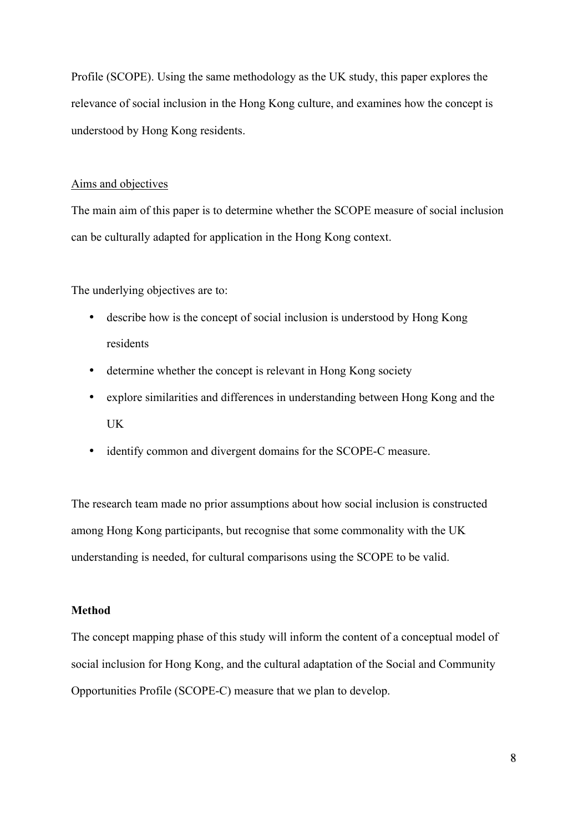Profile (SCOPE). Using the same methodology as the UK study, this paper explores the relevance of social inclusion in the Hong Kong culture, and examines how the concept is understood by Hong Kong residents.

# Aims and objectives

The main aim of this paper is to determine whether the SCOPE measure of social inclusion can be culturally adapted for application in the Hong Kong context.

The underlying objectives are to:

- describe how is the concept of social inclusion is understood by Hong Kong residents
- determine whether the concept is relevant in Hong Kong society
- explore similarities and differences in understanding between Hong Kong and the UK
- identify common and divergent domains for the SCOPE-C measure.

The research team made no prior assumptions about how social inclusion is constructed among Hong Kong participants, but recognise that some commonality with the UK understanding is needed, for cultural comparisons using the SCOPE to be valid.

# **Method**

The concept mapping phase of this study will inform the content of a conceptual model of social inclusion for Hong Kong, and the cultural adaptation of the Social and Community Opportunities Profile (SCOPE-C) measure that we plan to develop.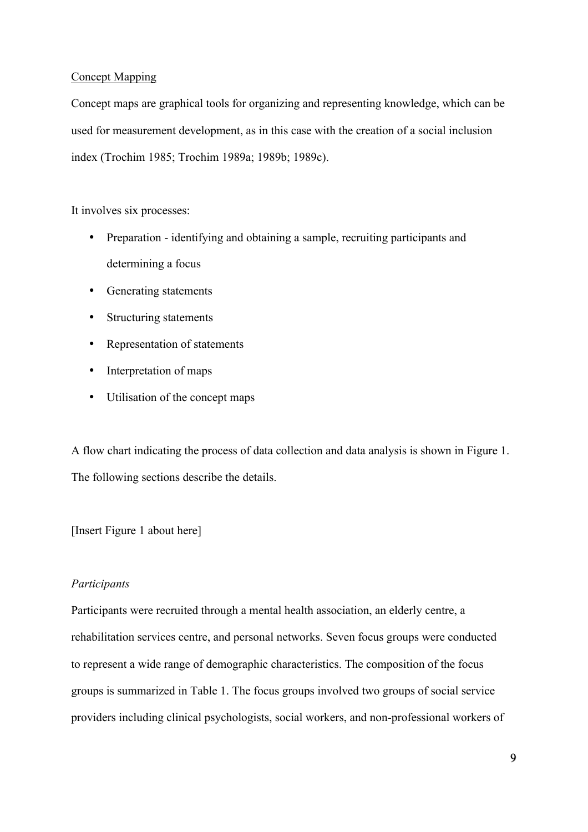# Concept Mapping

Concept maps are graphical tools for organizing and representing knowledge, which can be used for measurement development, as in this case with the creation of a social inclusion index (Trochim 1985; Trochim 1989a; 1989b; 1989c).

It involves six processes:

- Preparation identifying and obtaining a sample, recruiting participants and determining a focus
- Generating statements
- Structuring statements
- Representation of statements
- Interpretation of maps
- Utilisation of the concept maps

A flow chart indicating the process of data collection and data analysis is shown in Figure 1. The following sections describe the details.

[Insert Figure 1 about here]

# *Participants*

Participants were recruited through a mental health association, an elderly centre, a rehabilitation services centre, and personal networks. Seven focus groups were conducted to represent a wide range of demographic characteristics. The composition of the focus groups is summarized in Table 1. The focus groups involved two groups of social service providers including clinical psychologists, social workers, and non-professional workers of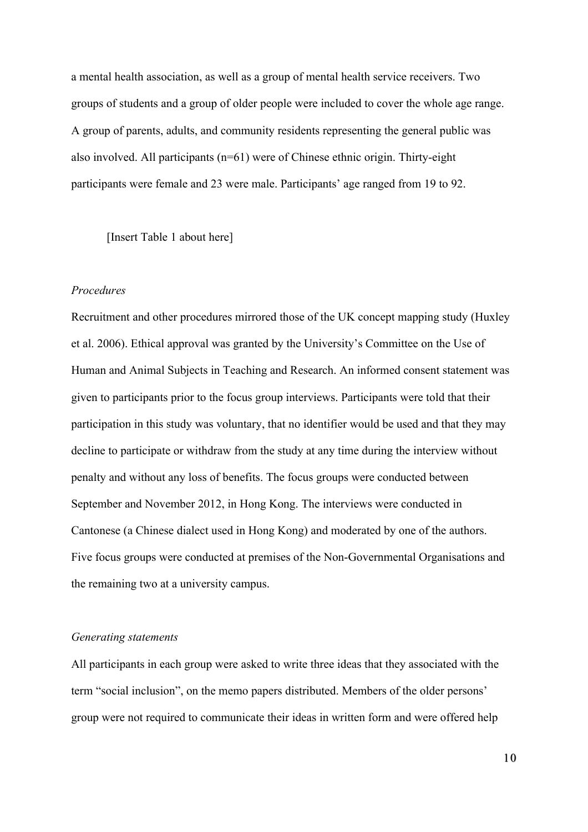a mental health association, as well as a group of mental health service receivers. Two groups of students and a group of older people were included to cover the whole age range. A group of parents, adults, and community residents representing the general public was also involved. All participants (n=61) were of Chinese ethnic origin. Thirty-eight participants were female and 23 were male. Participants' age ranged from 19 to 92.

[Insert Table 1 about here]

### *Procedures*

Recruitment and other procedures mirrored those of the UK concept mapping study (Huxley et al. 2006). Ethical approval was granted by the University's Committee on the Use of Human and Animal Subjects in Teaching and Research. An informed consent statement was given to participants prior to the focus group interviews. Participants were told that their participation in this study was voluntary, that no identifier would be used and that they may decline to participate or withdraw from the study at any time during the interview without penalty and without any loss of benefits. The focus groups were conducted between September and November 2012, in Hong Kong. The interviews were conducted in Cantonese (a Chinese dialect used in Hong Kong) and moderated by one of the authors. Five focus groups were conducted at premises of the Non-Governmental Organisations and the remaining two at a university campus.

#### *Generating statements*

All participants in each group were asked to write three ideas that they associated with the term "social inclusion", on the memo papers distributed. Members of the older persons' group were not required to communicate their ideas in written form and were offered help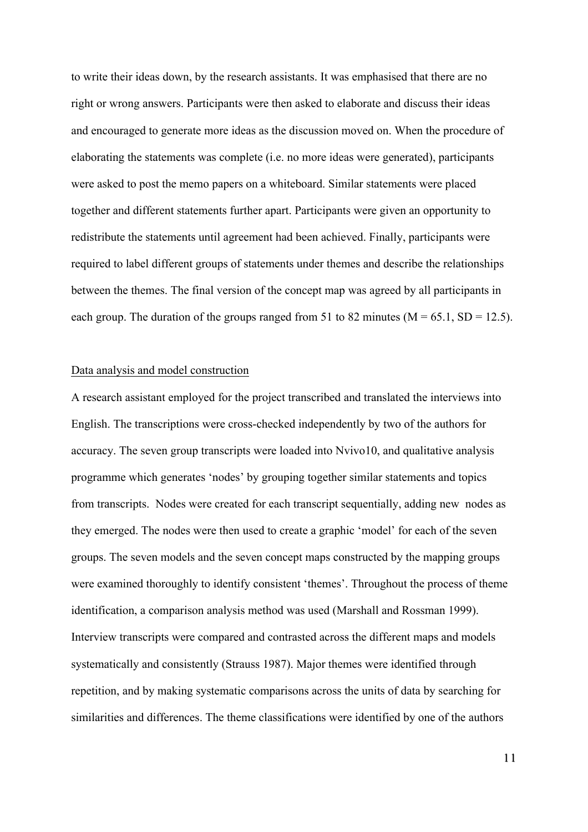to write their ideas down, by the research assistants. It was emphasised that there are no right or wrong answers. Participants were then asked to elaborate and discuss their ideas and encouraged to generate more ideas as the discussion moved on. When the procedure of elaborating the statements was complete (i.e. no more ideas were generated), participants were asked to post the memo papers on a whiteboard. Similar statements were placed together and different statements further apart. Participants were given an opportunity to redistribute the statements until agreement had been achieved. Finally, participants were required to label different groups of statements under themes and describe the relationships between the themes. The final version of the concept map was agreed by all participants in each group. The duration of the groups ranged from 51 to 82 minutes ( $M = 65.1$ ,  $SD = 12.5$ ).

# Data analysis and model construction

A research assistant employed for the project transcribed and translated the interviews into English. The transcriptions were cross-checked independently by two of the authors for accuracy. The seven group transcripts were loaded into Nvivo10, and qualitative analysis programme which generates 'nodes' by grouping together similar statements and topics from transcripts. Nodes were created for each transcript sequentially, adding new nodes as they emerged. The nodes were then used to create a graphic 'model' for each of the seven groups. The seven models and the seven concept maps constructed by the mapping groups were examined thoroughly to identify consistent 'themes'. Throughout the process of theme identification, a comparison analysis method was used (Marshall and Rossman 1999). Interview transcripts were compared and contrasted across the different maps and models systematically and consistently (Strauss 1987). Major themes were identified through repetition, and by making systematic comparisons across the units of data by searching for similarities and differences. The theme classifications were identified by one of the authors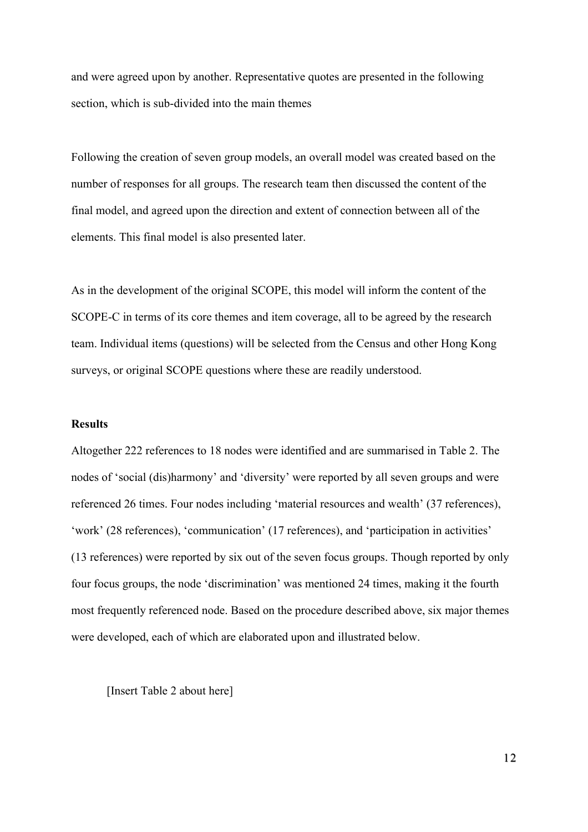and were agreed upon by another. Representative quotes are presented in the following section, which is sub-divided into the main themes

Following the creation of seven group models, an overall model was created based on the number of responses for all groups. The research team then discussed the content of the final model, and agreed upon the direction and extent of connection between all of the elements. This final model is also presented later.

As in the development of the original SCOPE, this model will inform the content of the SCOPE-C in terms of its core themes and item coverage, all to be agreed by the research team. Individual items (questions) will be selected from the Census and other Hong Kong surveys, or original SCOPE questions where these are readily understood.

# **Results**

Altogether 222 references to 18 nodes were identified and are summarised in Table 2. The nodes of 'social (dis)harmony' and 'diversity' were reported by all seven groups and were referenced 26 times. Four nodes including 'material resources and wealth' (37 references), 'work' (28 references), 'communication' (17 references), and 'participation in activities' (13 references) were reported by six out of the seven focus groups. Though reported by only four focus groups, the node 'discrimination' was mentioned 24 times, making it the fourth most frequently referenced node. Based on the procedure described above, six major themes were developed, each of which are elaborated upon and illustrated below.

[Insert Table 2 about here]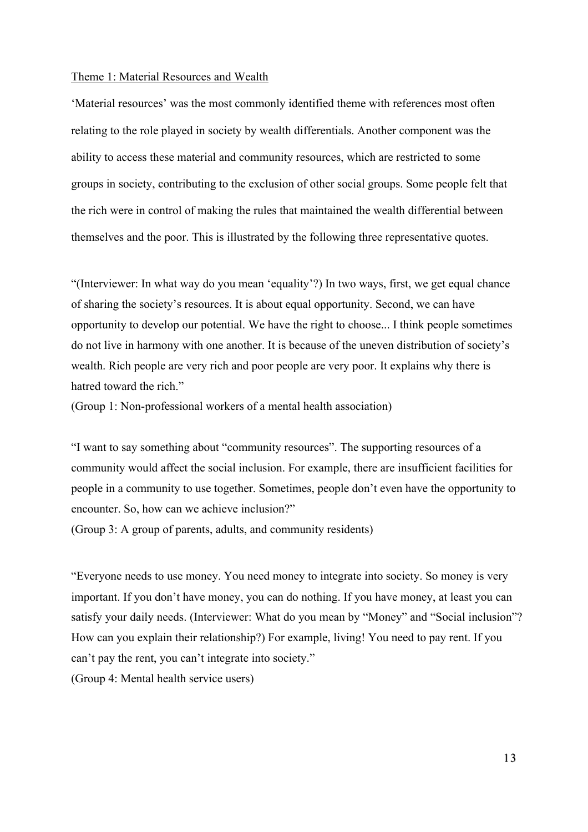#### Theme 1: Material Resources and Wealth

'Material resources' was the most commonly identified theme with references most often relating to the role played in society by wealth differentials. Another component was the ability to access these material and community resources, which are restricted to some groups in society, contributing to the exclusion of other social groups. Some people felt that the rich were in control of making the rules that maintained the wealth differential between themselves and the poor. This is illustrated by the following three representative quotes.

"(Interviewer: In what way do you mean 'equality'?) In two ways, first, we get equal chance of sharing the society's resources. It is about equal opportunity. Second, we can have opportunity to develop our potential. We have the right to choose... I think people sometimes do not live in harmony with one another. It is because of the uneven distribution of society's wealth. Rich people are very rich and poor people are very poor. It explains why there is hatred toward the rich."

(Group 1: Non-professional workers of a mental health association)

"I want to say something about "community resources". The supporting resources of a community would affect the social inclusion. For example, there are insufficient facilities for people in a community to use together. Sometimes, people don't even have the opportunity to encounter. So, how can we achieve inclusion?"

(Group 3: A group of parents, adults, and community residents)

"Everyone needs to use money. You need money to integrate into society. So money is very important. If you don't have money, you can do nothing. If you have money, at least you can satisfy your daily needs. (Interviewer: What do you mean by "Money" and "Social inclusion"? How can you explain their relationship?) For example, living! You need to pay rent. If you can't pay the rent, you can't integrate into society." (Group 4: Mental health service users)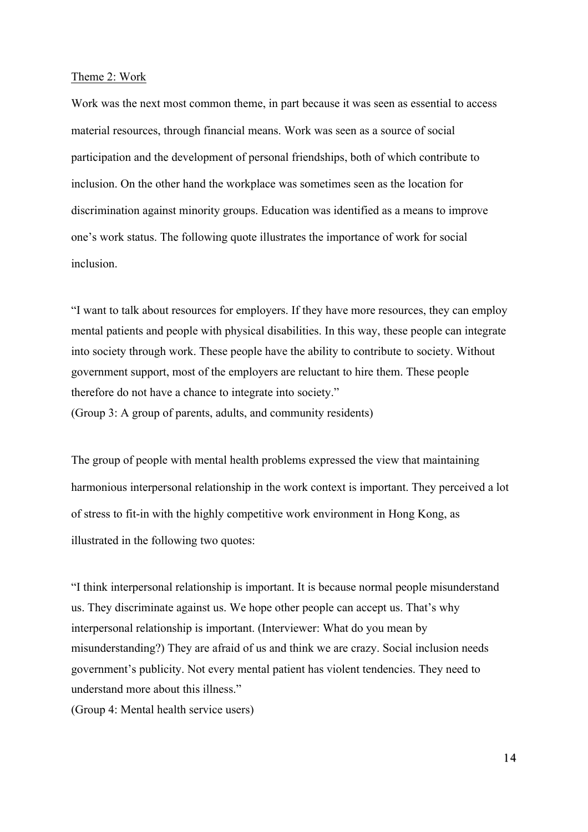#### Theme 2: Work

Work was the next most common theme, in part because it was seen as essential to access material resources, through financial means. Work was seen as a source of social participation and the development of personal friendships, both of which contribute to inclusion. On the other hand the workplace was sometimes seen as the location for discrimination against minority groups. Education was identified as a means to improve one's work status. The following quote illustrates the importance of work for social inclusion.

"I want to talk about resources for employers. If they have more resources, they can employ mental patients and people with physical disabilities. In this way, these people can integrate into society through work. These people have the ability to contribute to society. Without government support, most of the employers are reluctant to hire them. These people therefore do not have a chance to integrate into society." (Group 3: A group of parents, adults, and community residents)

The group of people with mental health problems expressed the view that maintaining harmonious interpersonal relationship in the work context is important. They perceived a lot of stress to fit-in with the highly competitive work environment in Hong Kong, as illustrated in the following two quotes:

"I think interpersonal relationship is important. It is because normal people misunderstand us. They discriminate against us. We hope other people can accept us. That's why interpersonal relationship is important. (Interviewer: What do you mean by misunderstanding?) They are afraid of us and think we are crazy. Social inclusion needs government's publicity. Not every mental patient has violent tendencies. They need to understand more about this illness." (Group 4: Mental health service users)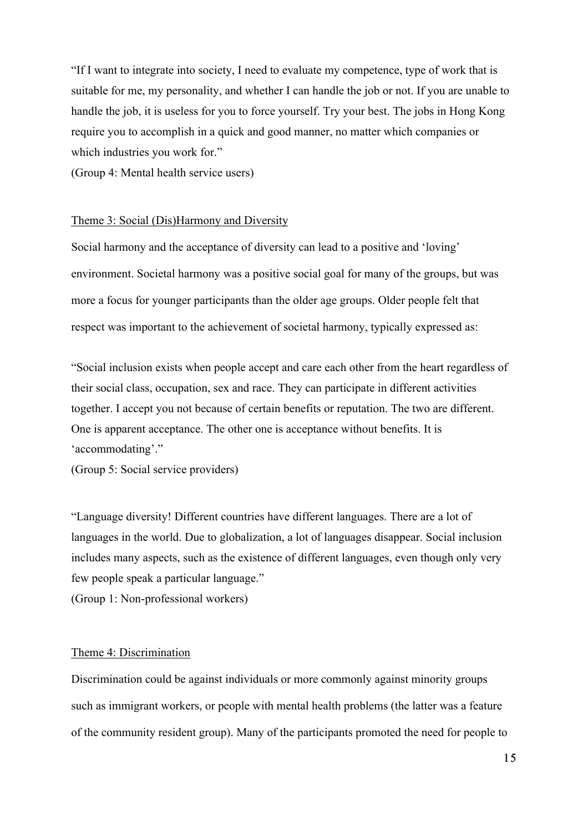"If I want to integrate into society, I need to evaluate my competence, type of work that is suitable for me, my personality, and whether I can handle the job or not. If you are unable to handle the job, it is useless for you to force yourself. Try your best. The jobs in Hong Kong require you to accomplish in a quick and good manner, no matter which companies or which industries you work for."

(Group 4: Mental health service users)

#### Theme 3: Social (Dis)Harmony and Diversity

Social harmony and the acceptance of diversity can lead to a positive and 'loving' environment. Societal harmony was a positive social goal for many of the groups, but was more a focus for younger participants than the older age groups. Older people felt that respect was important to the achievement of societal harmony, typically expressed as:

"Social inclusion exists when people accept and care each other from the heart regardless of their social class, occupation, sex and race. They can participate in different activities together. I accept you not because of certain benefits or reputation. The two are different. One is apparent acceptance. The other one is acceptance without benefits. It is 'accommodating'."

(Group 5: Social service providers)

"Language diversity! Different countries have different languages. There are a lot of languages in the world. Due to globalization, a lot of languages disappear. Social inclusion includes many aspects, such as the existence of different languages, even though only very few people speak a particular language."

(Group 1: Non-professional workers)

#### Theme 4: Discrimination

Discrimination could be against individuals or more commonly against minority groups such as immigrant workers, or people with mental health problems (the latter was a feature of the community resident group). Many of the participants promoted the need for people to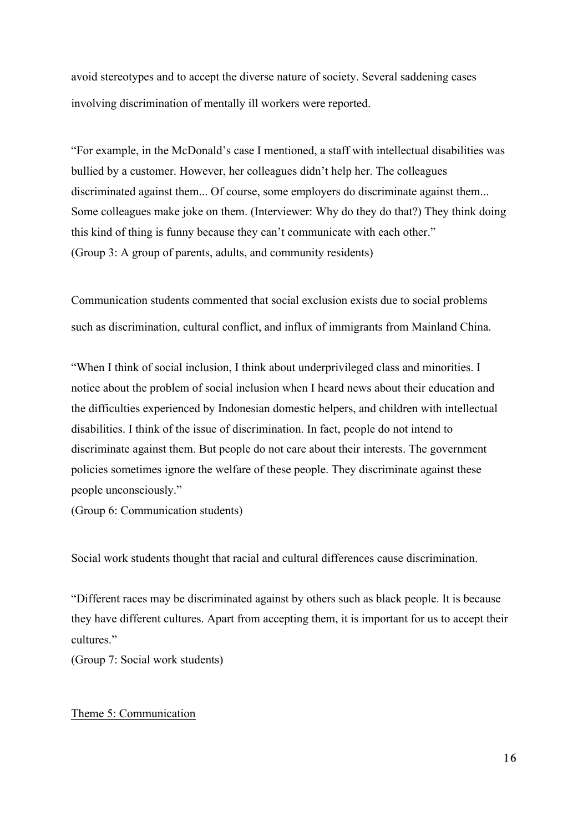avoid stereotypes and to accept the diverse nature of society. Several saddening cases involving discrimination of mentally ill workers were reported.

"For example, in the McDonald's case I mentioned, a staff with intellectual disabilities was bullied by a customer. However, her colleagues didn't help her. The colleagues discriminated against them... Of course, some employers do discriminate against them... Some colleagues make joke on them. (Interviewer: Why do they do that?) They think doing this kind of thing is funny because they can't communicate with each other." (Group 3: A group of parents, adults, and community residents)

Communication students commented that social exclusion exists due to social problems such as discrimination, cultural conflict, and influx of immigrants from Mainland China.

"When I think of social inclusion, I think about underprivileged class and minorities. I notice about the problem of social inclusion when I heard news about their education and the difficulties experienced by Indonesian domestic helpers, and children with intellectual disabilities. I think of the issue of discrimination. In fact, people do not intend to discriminate against them. But people do not care about their interests. The government policies sometimes ignore the welfare of these people. They discriminate against these people unconsciously."

(Group 6: Communication students)

Social work students thought that racial and cultural differences cause discrimination.

"Different races may be discriminated against by others such as black people. It is because they have different cultures. Apart from accepting them, it is important for us to accept their cultures."

(Group 7: Social work students)

# Theme 5: Communication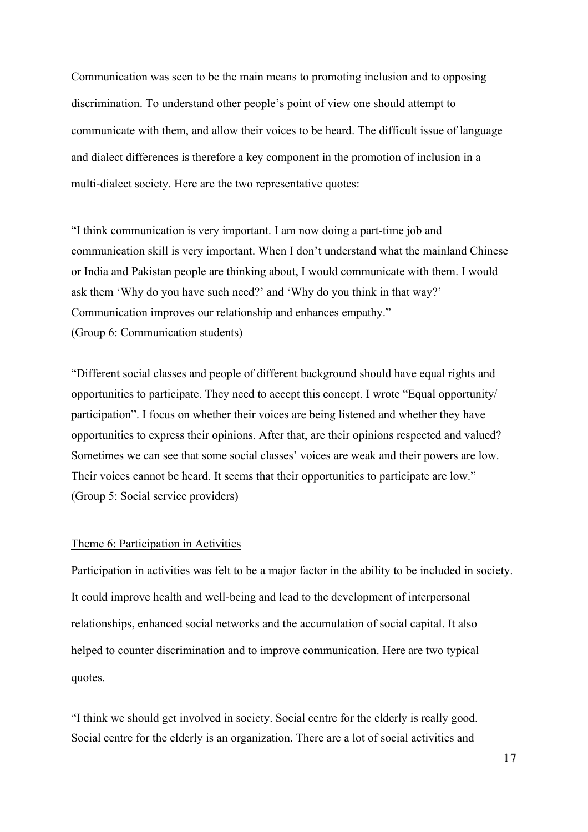Communication was seen to be the main means to promoting inclusion and to opposing discrimination. To understand other people's point of view one should attempt to communicate with them, and allow their voices to be heard. The difficult issue of language and dialect differences is therefore a key component in the promotion of inclusion in a multi-dialect society. Here are the two representative quotes:

"I think communication is very important. I am now doing a part-time job and communication skill is very important. When I don't understand what the mainland Chinese or India and Pakistan people are thinking about, I would communicate with them. I would ask them 'Why do you have such need?' and 'Why do you think in that way?' Communication improves our relationship and enhances empathy." (Group 6: Communication students)

"Different social classes and people of different background should have equal rights and opportunities to participate. They need to accept this concept. I wrote "Equal opportunity/ participation". I focus on whether their voices are being listened and whether they have opportunities to express their opinions. After that, are their opinions respected and valued? Sometimes we can see that some social classes' voices are weak and their powers are low. Their voices cannot be heard. It seems that their opportunities to participate are low." (Group 5: Social service providers)

# Theme 6: Participation in Activities

Participation in activities was felt to be a major factor in the ability to be included in society. It could improve health and well-being and lead to the development of interpersonal relationships, enhanced social networks and the accumulation of social capital. It also helped to counter discrimination and to improve communication. Here are two typical quotes.

"I think we should get involved in society. Social centre for the elderly is really good. Social centre for the elderly is an organization. There are a lot of social activities and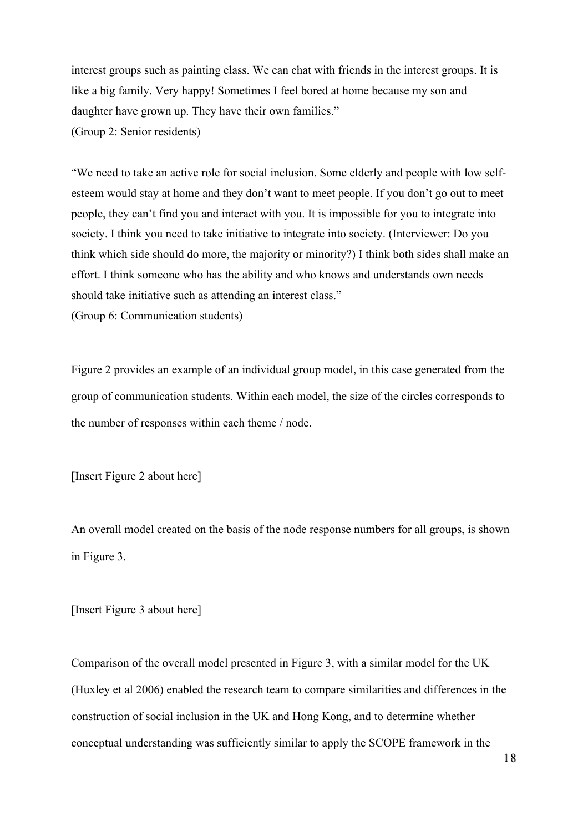interest groups such as painting class. We can chat with friends in the interest groups. It is like a big family. Very happy! Sometimes I feel bored at home because my son and daughter have grown up. They have their own families." (Group 2: Senior residents)

"We need to take an active role for social inclusion. Some elderly and people with low selfesteem would stay at home and they don't want to meet people. If you don't go out to meet people, they can't find you and interact with you. It is impossible for you to integrate into society. I think you need to take initiative to integrate into society. (Interviewer: Do you think which side should do more, the majority or minority?) I think both sides shall make an effort. I think someone who has the ability and who knows and understands own needs should take initiative such as attending an interest class."

(Group 6: Communication students)

Figure 2 provides an example of an individual group model, in this case generated from the group of communication students. Within each model, the size of the circles corresponds to the number of responses within each theme / node.

[Insert Figure 2 about here]

An overall model created on the basis of the node response numbers for all groups, is shown in Figure 3.

[Insert Figure 3 about here]

Comparison of the overall model presented in Figure 3, with a similar model for the UK (Huxley et al 2006) enabled the research team to compare similarities and differences in the construction of social inclusion in the UK and Hong Kong, and to determine whether conceptual understanding was sufficiently similar to apply the SCOPE framework in the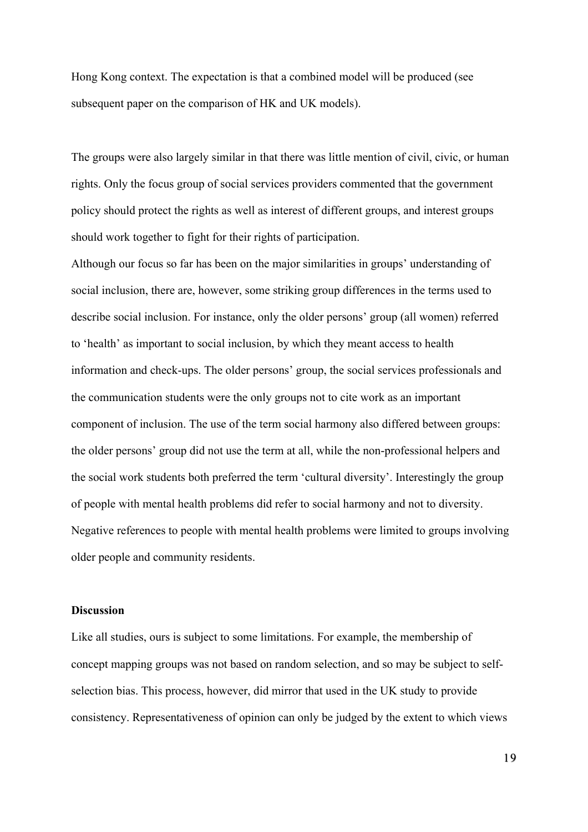Hong Kong context. The expectation is that a combined model will be produced (see subsequent paper on the comparison of HK and UK models).

The groups were also largely similar in that there was little mention of civil, civic, or human rights. Only the focus group of social services providers commented that the government policy should protect the rights as well as interest of different groups, and interest groups should work together to fight for their rights of participation.

Although our focus so far has been on the major similarities in groups' understanding of social inclusion, there are, however, some striking group differences in the terms used to describe social inclusion. For instance, only the older persons' group (all women) referred to 'health' as important to social inclusion, by which they meant access to health information and check-ups. The older persons' group, the social services professionals and the communication students were the only groups not to cite work as an important component of inclusion. The use of the term social harmony also differed between groups: the older persons' group did not use the term at all, while the non-professional helpers and the social work students both preferred the term 'cultural diversity'. Interestingly the group of people with mental health problems did refer to social harmony and not to diversity. Negative references to people with mental health problems were limited to groups involving older people and community residents.

# **Discussion**

Like all studies, ours is subject to some limitations. For example, the membership of concept mapping groups was not based on random selection, and so may be subject to selfselection bias. This process, however, did mirror that used in the UK study to provide consistency. Representativeness of opinion can only be judged by the extent to which views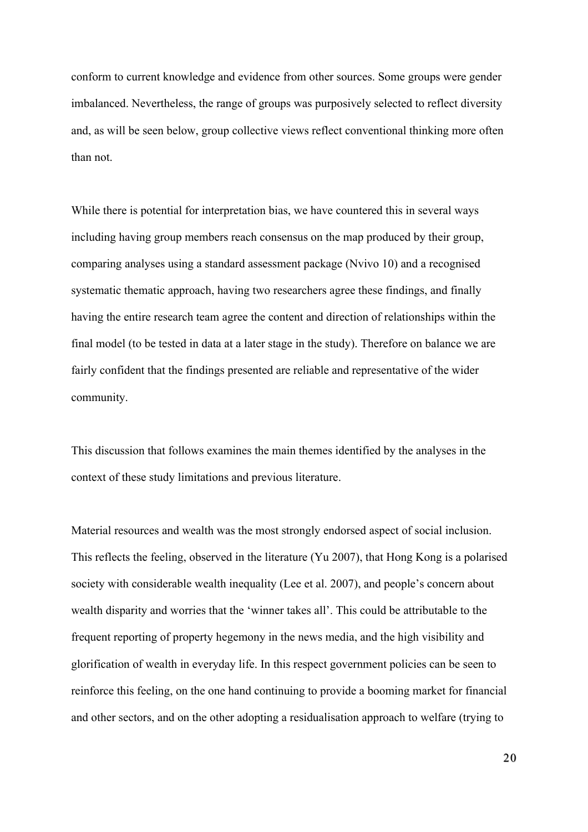conform to current knowledge and evidence from other sources. Some groups were gender imbalanced. Nevertheless, the range of groups was purposively selected to reflect diversity and, as will be seen below, group collective views reflect conventional thinking more often than not.

While there is potential for interpretation bias, we have countered this in several ways including having group members reach consensus on the map produced by their group, comparing analyses using a standard assessment package (Nvivo 10) and a recognised systematic thematic approach, having two researchers agree these findings, and finally having the entire research team agree the content and direction of relationships within the final model (to be tested in data at a later stage in the study). Therefore on balance we are fairly confident that the findings presented are reliable and representative of the wider community.

This discussion that follows examines the main themes identified by the analyses in the context of these study limitations and previous literature.

Material resources and wealth was the most strongly endorsed aspect of social inclusion. This reflects the feeling, observed in the literature (Yu 2007), that Hong Kong is a polarised society with considerable wealth inequality (Lee et al. 2007), and people's concern about wealth disparity and worries that the 'winner takes all'. This could be attributable to the frequent reporting of property hegemony in the news media, and the high visibility and glorification of wealth in everyday life. In this respect government policies can be seen to reinforce this feeling, on the one hand continuing to provide a booming market for financial and other sectors, and on the other adopting a residualisation approach to welfare (trying to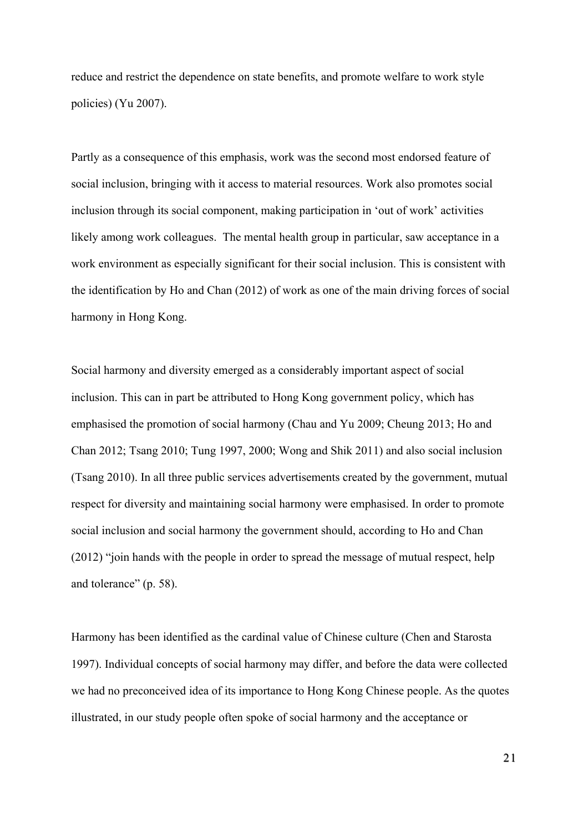reduce and restrict the dependence on state benefits, and promote welfare to work style policies) (Yu 2007).

Partly as a consequence of this emphasis, work was the second most endorsed feature of social inclusion, bringing with it access to material resources. Work also promotes social inclusion through its social component, making participation in 'out of work' activities likely among work colleagues. The mental health group in particular, saw acceptance in a work environment as especially significant for their social inclusion. This is consistent with the identification by Ho and Chan (2012) of work as one of the main driving forces of social harmony in Hong Kong.

Social harmony and diversity emerged as a considerably important aspect of social inclusion. This can in part be attributed to Hong Kong government policy, which has emphasised the promotion of social harmony (Chau and Yu 2009; Cheung 2013; Ho and Chan 2012; Tsang 2010; Tung 1997, 2000; Wong and Shik 2011) and also social inclusion (Tsang 2010). In all three public services advertisements created by the government, mutual respect for diversity and maintaining social harmony were emphasised. In order to promote social inclusion and social harmony the government should, according to Ho and Chan (2012) "join hands with the people in order to spread the message of mutual respect, help and tolerance" (p. 58).

Harmony has been identified as the cardinal value of Chinese culture (Chen and Starosta 1997). Individual concepts of social harmony may differ, and before the data were collected we had no preconceived idea of its importance to Hong Kong Chinese people. As the quotes illustrated, in our study people often spoke of social harmony and the acceptance or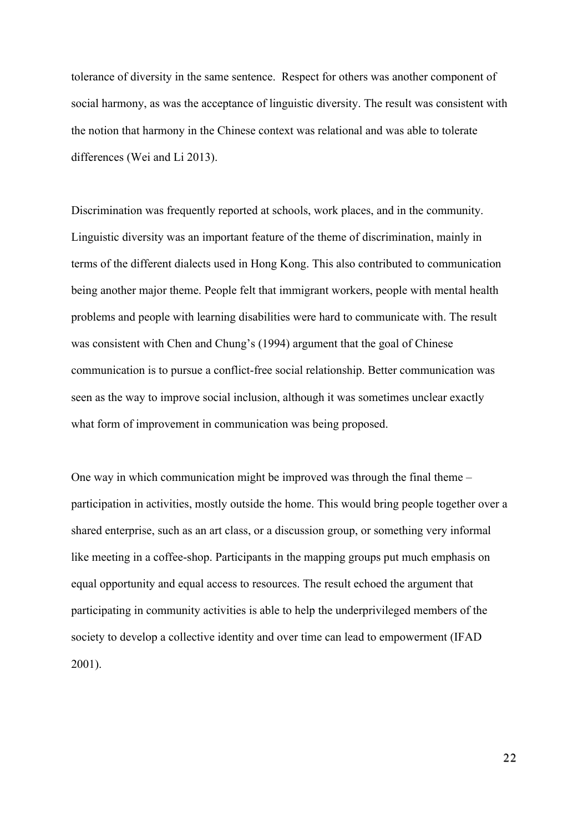tolerance of diversity in the same sentence. Respect for others was another component of social harmony, as was the acceptance of linguistic diversity. The result was consistent with the notion that harmony in the Chinese context was relational and was able to tolerate differences (Wei and Li 2013).

Discrimination was frequently reported at schools, work places, and in the community. Linguistic diversity was an important feature of the theme of discrimination, mainly in terms of the different dialects used in Hong Kong. This also contributed to communication being another major theme. People felt that immigrant workers, people with mental health problems and people with learning disabilities were hard to communicate with. The result was consistent with Chen and Chung's (1994) argument that the goal of Chinese communication is to pursue a conflict-free social relationship. Better communication was seen as the way to improve social inclusion, although it was sometimes unclear exactly what form of improvement in communication was being proposed.

One way in which communication might be improved was through the final theme – participation in activities, mostly outside the home. This would bring people together over a shared enterprise, such as an art class, or a discussion group, or something very informal like meeting in a coffee-shop. Participants in the mapping groups put much emphasis on equal opportunity and equal access to resources. The result echoed the argument that participating in community activities is able to help the underprivileged members of the society to develop a collective identity and over time can lead to empowerment (IFAD 2001).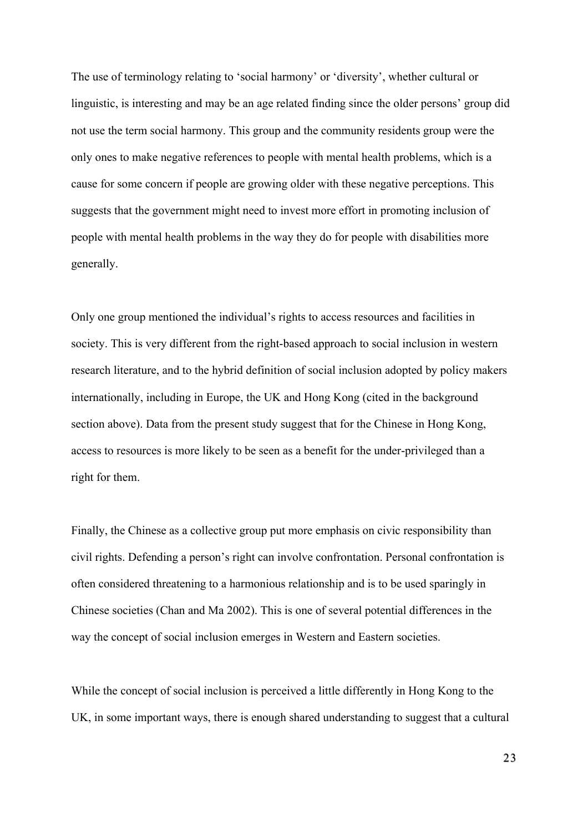The use of terminology relating to 'social harmony' or 'diversity', whether cultural or linguistic, is interesting and may be an age related finding since the older persons' group did not use the term social harmony. This group and the community residents group were the only ones to make negative references to people with mental health problems, which is a cause for some concern if people are growing older with these negative perceptions. This suggests that the government might need to invest more effort in promoting inclusion of people with mental health problems in the way they do for people with disabilities more generally.

Only one group mentioned the individual's rights to access resources and facilities in society. This is very different from the right-based approach to social inclusion in western research literature, and to the hybrid definition of social inclusion adopted by policy makers internationally, including in Europe, the UK and Hong Kong (cited in the background section above). Data from the present study suggest that for the Chinese in Hong Kong, access to resources is more likely to be seen as a benefit for the under-privileged than a right for them.

Finally, the Chinese as a collective group put more emphasis on civic responsibility than civil rights. Defending a person's right can involve confrontation. Personal confrontation is often considered threatening to a harmonious relationship and is to be used sparingly in Chinese societies (Chan and Ma 2002). This is one of several potential differences in the way the concept of social inclusion emerges in Western and Eastern societies.

While the concept of social inclusion is perceived a little differently in Hong Kong to the UK, in some important ways, there is enough shared understanding to suggest that a cultural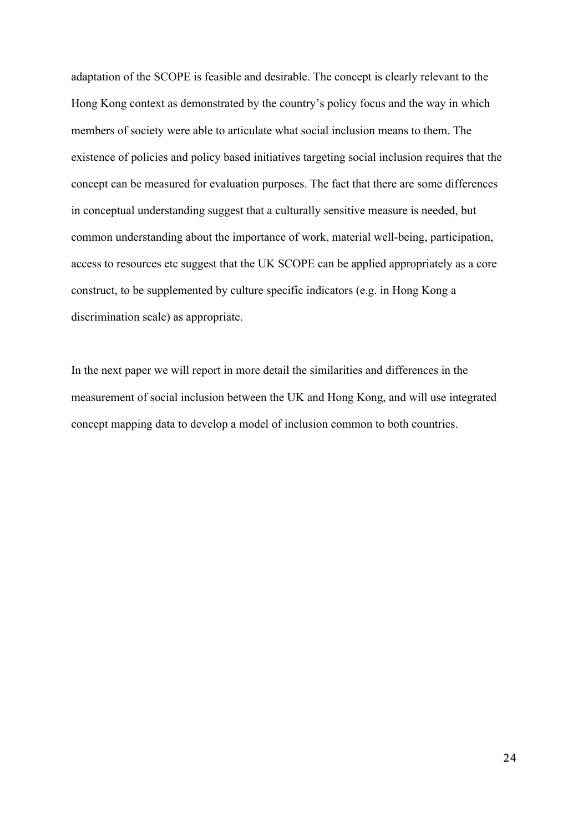adaptation of the SCOPE is feasible and desirable. The concept is clearly relevant to the Hong Kong context as demonstrated by the country's policy focus and the way in which members of society were able to articulate what social inclusion means to them. The existence of policies and policy based initiatives targeting social inclusion requires that the concept can be measured for evaluation purposes. The fact that there are some differences in conceptual understanding suggest that a culturally sensitive measure is needed, but common understanding about the importance of work, material well-being, participation, access to resources etc suggest that the UK SCOPE can be applied appropriately as a core construct, to be supplemented by culture specific indicators (e.g. in Hong Kong a discrimination scale) as appropriate.

In the next paper we will report in more detail the similarities and differences in the measurement of social inclusion between the UK and Hong Kong, and will use integrated concept mapping data to develop a model of inclusion common to both countries.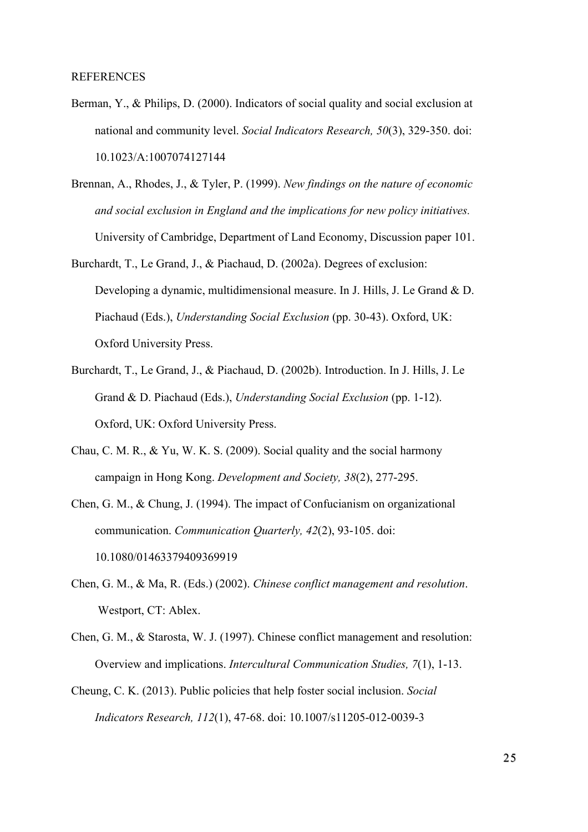- Berman, Y., & Philips, D. (2000). Indicators of social quality and social exclusion at national and community level. *Social Indicators Research, 50*(3), 329-350. doi: 10.1023/A:1007074127144
- Brennan, A., Rhodes, J., & Tyler, P. (1999). *New findings on the nature of economic and social exclusion in England and the implications for new policy initiatives.* University of Cambridge, Department of Land Economy, Discussion paper 101.
- Burchardt, T., Le Grand, J., & Piachaud, D. (2002a). Degrees of exclusion: Developing a dynamic, multidimensional measure. In J. Hills, J. Le Grand & D. Piachaud (Eds.), *Understanding Social Exclusion* (pp. 30-43). Oxford, UK: Oxford University Press.
- Burchardt, T., Le Grand, J., & Piachaud, D. (2002b). Introduction. In J. Hills, J. Le Grand & D. Piachaud (Eds.), *Understanding Social Exclusion* (pp. 1-12). Oxford, UK: Oxford University Press.
- Chau, C. M. R., & Yu, W. K. S. (2009). Social quality and the social harmony campaign in Hong Kong. *Development and Society, 38*(2), 277-295.
- Chen, G. M., & Chung, J. (1994). The impact of Confucianism on organizational communication. *Communication Quarterly, 42*(2), 93-105. doi: 10.1080/01463379409369919
- Chen, G. M., & Ma, R. (Eds.) (2002). *Chinese conflict management and resolution*. Westport, CT: Ablex.
- Chen, G. M., & Starosta, W. J. (1997). Chinese conflict management and resolution: Overview and implications. *Intercultural Communication Studies, 7*(1), 1-13.
- Cheung, C. K. (2013). Public policies that help foster social inclusion. *Social Indicators Research, 112*(1), 47-68. doi: 10.1007/s11205-012-0039-3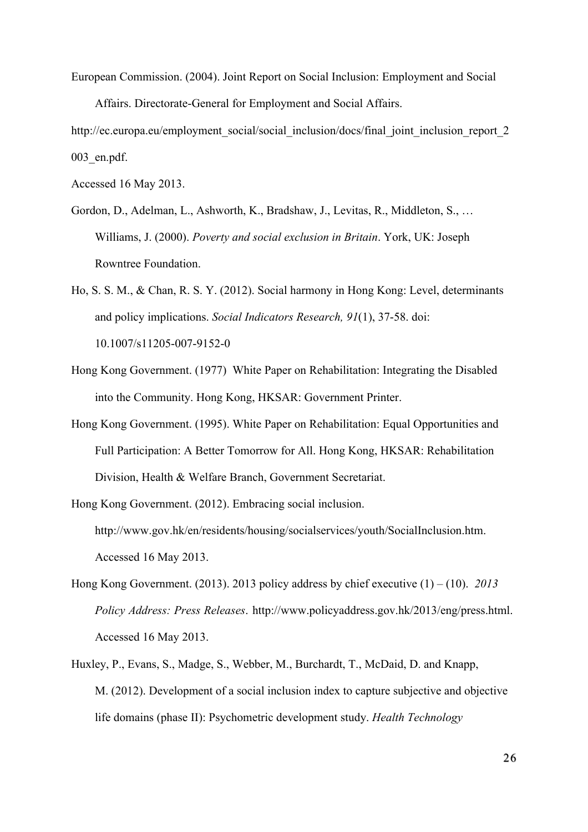European Commission. (2004). Joint Report on Social Inclusion: Employment and Social Affairs. Directorate-General for Employment and Social Affairs.

http://ec.europa.eu/employment\_social/social\_inclusion/docs/final\_joint\_inclusion\_report\_2 003\_en.pdf.

Accessed 16 May 2013.

- Gordon, D., Adelman, L., Ashworth, K., Bradshaw, J., Levitas, R., Middleton, S., … Williams, J. (2000). *Poverty and social exclusion in Britain*. York, UK: Joseph Rowntree Foundation.
- Ho, S. S. M., & Chan, R. S. Y. (2012). Social harmony in Hong Kong: Level, determinants and policy implications. *Social Indicators Research, 91*(1), 37-58. doi: 10.1007/s11205-007-9152-0
- Hong Kong Government. (1977) White Paper on Rehabilitation: Integrating the Disabled into the Community. Hong Kong, HKSAR: Government Printer.
- Hong Kong Government. (1995). White Paper on Rehabilitation: Equal Opportunities and Full Participation: A Better Tomorrow for All. Hong Kong, HKSAR: Rehabilitation Division, Health & Welfare Branch, Government Secretariat.

Hong Kong Government. (2012). Embracing social inclusion. http://www.gov.hk/en/residents/housing/socialservices/youth/SocialInclusion.htm. Accessed 16 May 2013.

- Hong Kong Government. (2013). 2013 policy address by chief executive (1) (10). *2013 Policy Address: Press Releases*. http://www.policyaddress.gov.hk/2013/eng/press.html. Accessed 16 May 2013.
- Huxley, P., Evans, S., Madge, S., Webber, M., Burchardt, T., McDaid, D. and Knapp, M. (2012). Development of a social inclusion index to capture subjective and objective life domains (phase II): Psychometric development study. *Health Technology*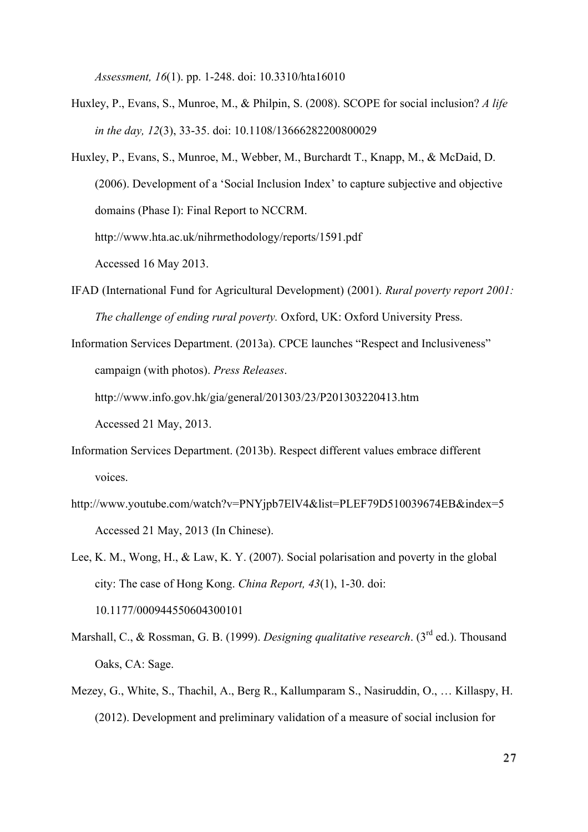*Assessment, 16*(1). pp. 1-248. doi: 10.3310/hta16010

- Huxley, P., Evans, S., Munroe, M., & Philpin, S. (2008). SCOPE for social inclusion? *A life in the day, 12*(3), 33-35. doi: 10.1108/13666282200800029
- Huxley, P., Evans, S., Munroe, M., Webber, M., Burchardt T., Knapp, M., & McDaid, D. (2006). Development of a 'Social Inclusion Index' to capture subjective and objective domains (Phase I): Final Report to NCCRM.

http://www.hta.ac.uk/nihrmethodology/reports/1591.pdf

Accessed 16 May 2013.

IFAD (International Fund for Agricultural Development) (2001). *Rural poverty report 2001: The challenge of ending rural poverty.* Oxford, UK: Oxford University Press.

Information Services Department. (2013a). CPCE launches "Respect and Inclusiveness" campaign (with photos). *Press Releases*.

http://www.info.gov.hk/gia/general/201303/23/P201303220413.htm

Accessed 21 May, 2013.

- Information Services Department. (2013b). Respect different values embrace different voices.
- http://www.youtube.com/watch?v=PNYjpb7ElV4&list=PLEF79D510039674EB&index=5 Accessed 21 May, 2013 (In Chinese).
- Lee, K. M., Wong, H., & Law, K. Y. (2007). Social polarisation and poverty in the global city: The case of Hong Kong. *China Report, 43*(1), 1-30. doi: 10.1177/000944550604300101
- Marshall, C., & Rossman, G. B. (1999). *Designing qualitative research*. (3<sup>rd</sup> ed.). Thousand Oaks, CA: Sage.
- Mezey, G., White, S., Thachil, A., Berg R., Kallumparam S., Nasiruddin, O., … Killaspy, H. (2012). Development and preliminary validation of a measure of social inclusion for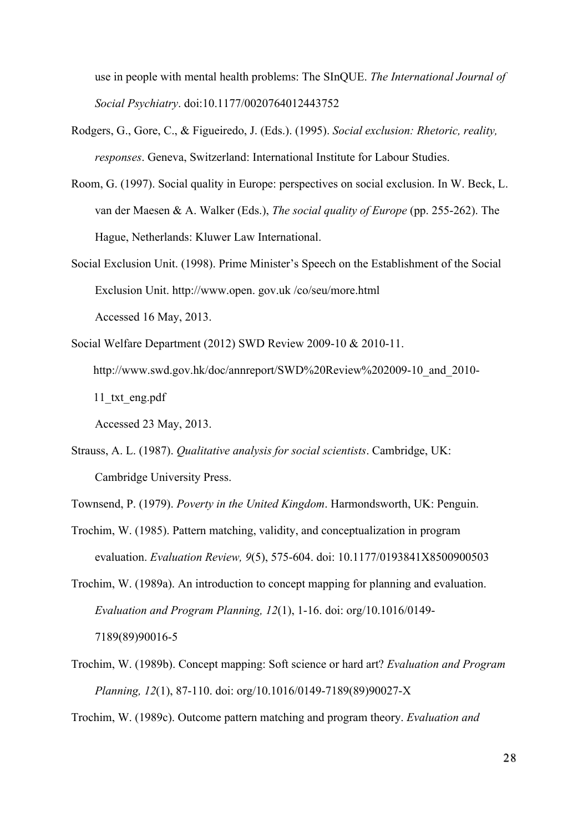use in people with mental health problems: The SInQUE. *The International Journal of Social Psychiatry*. doi:10.1177/0020764012443752

- Rodgers, G., Gore, C., & Figueiredo, J. (Eds.). (1995). *Social exclusion: Rhetoric, reality, responses*. Geneva, Switzerland: International Institute for Labour Studies.
- Room, G. (1997). Social quality in Europe: perspectives on social exclusion. In W. Beck, L. van der Maesen & A. Walker (Eds.), *The social quality of Europe* (pp. 255-262). The Hague, Netherlands: Kluwer Law International.
- Social Exclusion Unit. (1998). Prime Minister's Speech on the Establishment of the Social Exclusion Unit. http://www.open. gov.uk /co/seu/more.html Accessed 16 May, 2013.
- Social Welfare Department (2012) SWD Review 2009-10 & 2010-11. http://www.swd.gov.hk/doc/annreport/SWD%20Review%202009-10\_and\_2010- 11\_txt\_eng.pdf

Accessed 23 May, 2013.

Strauss, A. L. (1987). *Qualitative analysis for social scientists*. Cambridge, UK: Cambridge University Press.

Townsend, P. (1979). *Poverty in the United Kingdom*. Harmondsworth, UK: Penguin.

Trochim, W. (1985). Pattern matching, validity, and conceptualization in program evaluation. *Evaluation Review, 9*(5), 575-604. doi: 10.1177/0193841X8500900503

Trochim, W. (1989a). An introduction to concept mapping for planning and evaluation. *Evaluation and Program Planning, 12*(1), 1-16. doi: org/10.1016/0149- 7189(89)90016-5

- Trochim, W. (1989b). Concept mapping: Soft science or hard art? *Evaluation and Program Planning, 12*(1), 87-110. doi: org/10.1016/0149-7189(89)90027-X
- Trochim, W. (1989c). Outcome pattern matching and program theory. *Evaluation and*